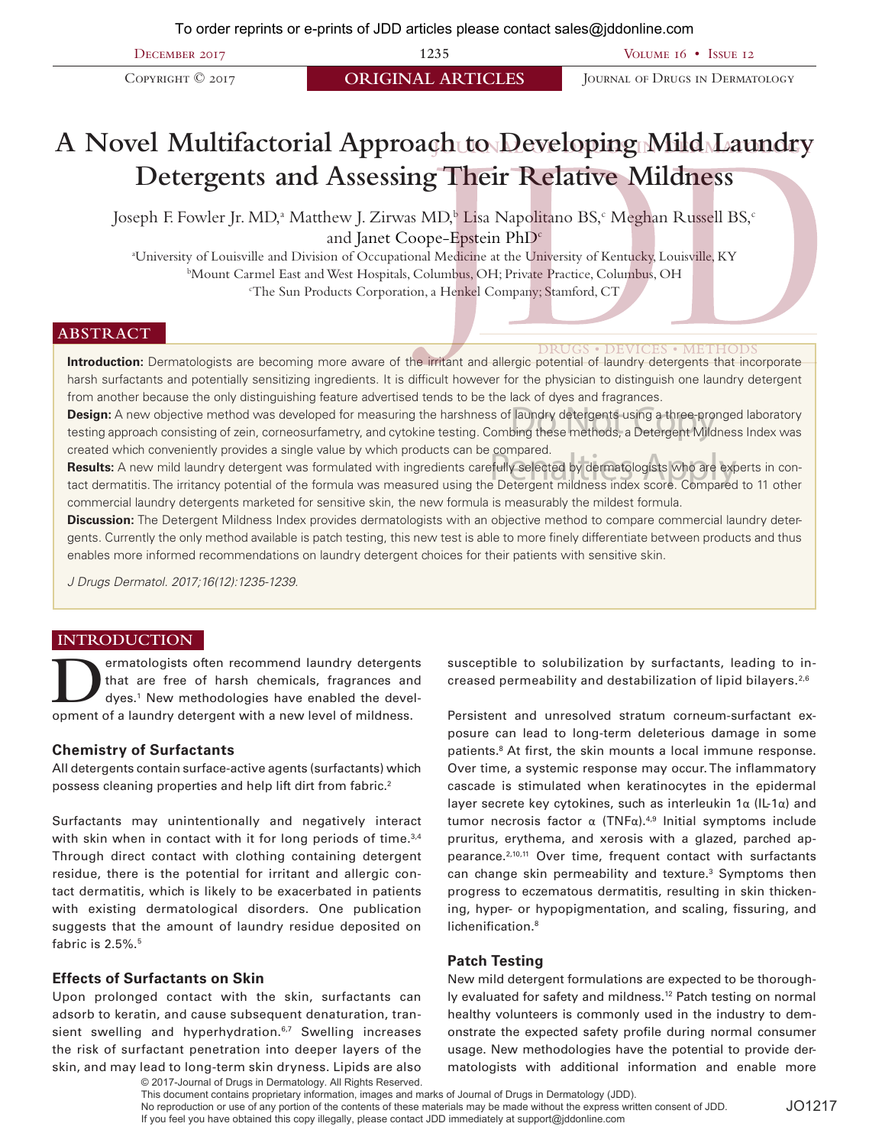December 2017 **1235** Volume 16 • Issue 12

**COPYRIGHT © 2017 ORIGINAL ARTICLES** JOURNAL OF DRUGS IN DERMATOLOGY

# **A Novel Multifactorial Approach to Developing Mild Laundry Detergents and Assessing Their Relative Mildness**

Joseph F. Fowler Jr. MD,<sup>a</sup> Matthew J. Zirwas MD,<sup>b</sup> Lisa Napolitano BS,<sup>c</sup> Meghan Russell BS,<sup>c</sup> and Janet Coope-Epstein PhD<sup>c</sup>

a University of Louisville and Division of Occupational Medicine at the University of Kentucky, Louisville, KY b Mount Carmel East and West Hospitals, Columbus, OH; Private Practice, Columbus, OH c The Sun Products Corporation, a Henkel Company; Stamford, CT

## **ABSTRACT**

**Introduction:** Dermatologists are becoming more aware of the irritant and allergic potential of laundry detergents that incorporate harsh surfactants and potentially sensitizing ingredients. It is difficult however for the physician to distinguish one laundry detergent from another because the only distinguishing feature advertised tends to be the lack of dyes and fragrances.

**Design:** A new objective method was developed for measuring the harshness of laundry detergents using a three-pronged laboratory **Design:** A new objective method was developed for measuring the harshness of laundry detergents using a three-pronged laboratory<br>testing approach consisting of zein, corneosurfametry, and cytokine testing. Combing these m created which conveniently provides a single value by which products can be compared.

**Results:** A new mild laundry detergent was formulated with ingredients carefully selected by dermatologists who are experts in contact dermatitis. The irritancy potential of the formula was measured using the Detergent mildness index score. Compared to 11 other commercial laundry detergents marketed for sensitive skin, the new formula is measurably the mildest formula. compared.<br>Pally selected by dermatologists who are express and the second part of the second compared of the Apple Second<br>Pelergent mildness index score Compared

**Discussion:** The Detergent Mildness Index provides dermatologists with an objective method to compare commercial laundry detergents. Currently the only method available is patch testing, this new test is able to more finely differentiate between products and thus enables more informed recommendations on laundry detergent choices for their patients with sensitive skin.

*J Drugs Dermatol. 2017;16(12):1235-1239.*

## **INTRODUCTION**

ermatologists often recommend laundry detergents<br>that are free of harsh chemicals, fragrances and<br>dyes.<sup>1</sup> New methodologies have enabled the devel-<br>compart of a laundry detergent with a new level of mildness that are free of harsh chemicals, fragrances and dyes.1 New methodologies have enabled the development of a laundry detergent with a new level of mildness.

#### **Chemistry of Surfactants**

All detergents contain surface-active agents (surfactants) which possess cleaning properties and help lift dirt from fabric.<sup>2</sup>

Surfactants may unintentionally and negatively interact with skin when in contact with it for long periods of time.<sup>3,4</sup> Through direct contact with clothing containing detergent residue, there is the potential for irritant and allergic contact dermatitis, which is likely to be exacerbated in patients with existing dermatological disorders. One publication suggests that the amount of laundry residue deposited on fabric is  $2.5\%$ .<sup>5</sup>

#### **Effects of Surfactants on Skin**

Upon prolonged contact with the skin, surfactants can adsorb to keratin, and cause subsequent denaturation, transient swelling and hyperhydration.<sup>6,7</sup> Swelling increases the risk of surfactant penetration into deeper layers of the skin, and may lead to long-term skin dryness. Lipids are also susceptible to solubilization by surfactants, leading to increased permeability and destabilization of lipid bilayers.2,6

Persistent and unresolved stratum corneum-surfactant exposure can lead to long-term deleterious damage in some patients.<sup>8</sup> At first, the skin mounts a local immune response. Over time, a systemic response may occur. The inflammatory cascade is stimulated when keratinocytes in the epidermal layer secrete key cytokines, such as interleukin 1α (IL-1α) and tumor necrosis factor  $\alpha$  (TNFα).<sup>4,9</sup> Initial symptoms include pruritus, erythema, and xerosis with a glazed, parched appearance.2,10,11 Over time, frequent contact with surfactants can change skin permeability and texture.<sup>3</sup> Symptoms then progress to eczematous dermatitis, resulting in skin thickening, hyper- or hypopigmentation, and scaling, fissuring, and lichenification.<sup>8</sup>

#### **Patch Testing**

New mild detergent formulations are expected to be thoroughly evaluated for safety and mildness.<sup>12</sup> Patch testing on normal healthy volunteers is commonly used in the industry to demonstrate the expected safety profile during normal consumer usage. New methodologies have the potential to provide dermatologists with additional information and enable more

© 2017-Journal of Drugs in Dermatology. All Rights Reserved. This document contains proprietary information, images and marks of Journal of Drugs in Dermatology (JDD). No reproduction or use of any portion of the contents of these materials may be made without the express written consent of JDD. If you feel you have obtained this copy illegally, please contact JDD immediately at support@jddonline.com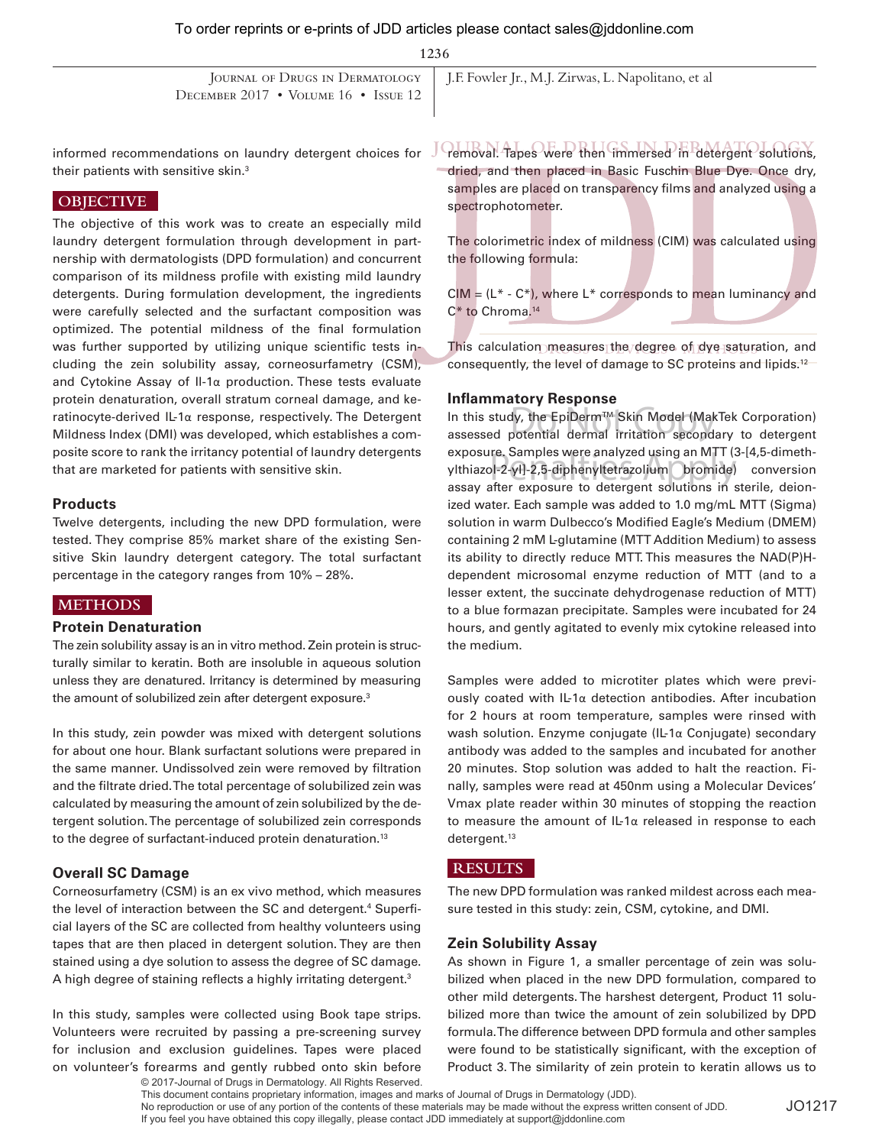**1236**

| DECEMBER $2017 \cdot \text{Volume } 16 \cdot \text{Is} = 12$ | JOURNAL OF DRUGS IN DERMATOLOGY   J.F. Fowler Jr., M.J. Zirwas, L. Napolitano, et al |
|--------------------------------------------------------------|--------------------------------------------------------------------------------------|
|                                                              |                                                                                      |

informed recommendations on laundry detergent choices for their patients with sensitive skin.3

# **OBJECTIVE**

The objective of this work was to create an especially mild laundry detergent formulation through development in partnership with dermatologists (DPD formulation) and concurrent comparison of its mildness profile with existing mild laundry detergents. During formulation development, the ingredients were carefully selected and the surfactant composition was optimized. The potential mildness of the final formulation was further supported by utilizing unique scientific tests including the zein solubility assay, corneosurfametry (CSM), and Cytokine Assay of Il-1α production. These tests evaluate protein denaturation, overall stratum corneal damage, and keratinocyte-derived IL-1α response, respectively. The Detergent Mildness Index (DMI) was developed, which establishes a composite score to rank the irritancy potential of laundry detergents that are marketed for patients with sensitive skin.

## **Products**

Twelve detergents, including the new DPD formulation, were tested. They comprise 85% market share of the existing Sensitive Skin laundry detergent category. The total surfactant percentage in the category ranges from 10% – 28%.

# **METHODS**

## **Protein Denaturation**

The zein solubility assay is an in vitro method. Zein protein is structurally similar to keratin. Both are insoluble in aqueous solution unless they are denatured. Irritancy is determined by measuring the amount of solubilized zein after detergent exposure.<sup>3</sup>

In this study, zein powder was mixed with detergent solutions for about one hour. Blank surfactant solutions were prepared in the same manner. Undissolved zein were removed by filtration and the filtrate dried. The total percentage of solubilized zein was calculated by measuring the amount of zein solubilized by the detergent solution. The percentage of solubilized zein corresponds to the degree of surfactant-induced protein denaturation.<sup>13</sup>

# **Overall SC Damage**

Corneosurfametry (CSM) is an ex vivo method, which measures the level of interaction between the SC and detergent.<sup>4</sup> Superficial layers of the SC are collected from healthy volunteers using tapes that are then placed in detergent solution. They are then stained using a dye solution to assess the degree of SC damage. A high degree of staining reflects a highly irritating detergent.<sup>3</sup>

In this study, samples were collected using Book tape strips. Volunteers were recruited by passing a pre-screening survey for inclusion and exclusion guidelines. Tapes were placed on volunteer's forearms and gently rubbed onto skin before

© 2017-Journal of Drugs in Dermatology. All Rights Reserved.

removal. Tapes were then immersed in detergent solutions, dried, and then placed in Basic Fuschin Blue Dye. Once dry, samples are placed on transparency films and analyzed using a spectrophotometer.

The colorimetric index of mildness (CIM) was calculated using the following formula:

 $CIM = (L^* - C^*)$ , where  $L^*$  corresponds to mean luminancy and C\* to Chroma.14

This calculation measures the degree of dye saturation, and consequently, the level of damage to SC proteins and lipids.<sup>12</sup>

## **Inflammatory Response**

In this study, the EpiDermTM Skin Model (MakTek Corporation) Do Not Copy assessed potential dermal irritation secondary to detergent exposure. Samples were analyzed using an MTT (3-[4,5-dimethexposure. Samples were analyzed using an MTT (3-[4,5-dimeth-<br>ylthiazol-2-yl]-2,5-diphenyltetrazolium bromide) conversion<br>assay after exposure to detergent solutions in sterile, dejen assay after exposure to detergent solutions in sterile, deionized water. Each sample was added to 1.0 mg/mL MTT (Sigma) solution in warm Dulbecco's Modified Eagle's Medium (DMEM) containing 2 mM L-glutamine (MTT Addition Medium) to assess its ability to directly reduce MTT. This measures the NAD(P)Hdependent microsomal enzyme reduction of MTT (and to a lesser extent, the succinate dehydrogenase reduction of MTT) to a blue formazan precipitate. Samples were incubated for 24 hours, and gently agitated to evenly mix cytokine released into the medium.

Samples were added to microtiter plates which were previously coated with IL-1α detection antibodies. After incubation for 2 hours at room temperature, samples were rinsed with wash solution. Enzyme conjugate (IL-1α Conjugate) secondary antibody was added to the samples and incubated for another 20 minutes. Stop solution was added to halt the reaction. Finally, samples were read at 450nm using a Molecular Devices' Vmax plate reader within 30 minutes of stopping the reaction to measure the amount of IL-1α released in response to each detergent.<sup>13</sup>

## **RESULTS**

The new DPD formulation was ranked mildest across each measure tested in this study: zein, CSM, cytokine, and DMI.

## **Zein Solubility Assay**

As shown in Figure 1, a smaller percentage of zein was solubilized when placed in the new DPD formulation, compared to other mild detergents. The harshest detergent, Product 11 solubilized more than twice the amount of zein solubilized by DPD formula. The difference between DPD formula and other samples were found to be statistically significant, with the exception of Product 3. The similarity of zein protein to keratin allows us to

This document contains proprietary information, images and marks of Journal of Drugs in Dermatology (JDD). No reproduction or use of any portion of the contents of these materials may be made without the express written consent of JDD. If you feel you have obtained this copy illegally, please contact JDD immediately at support@jddonline.com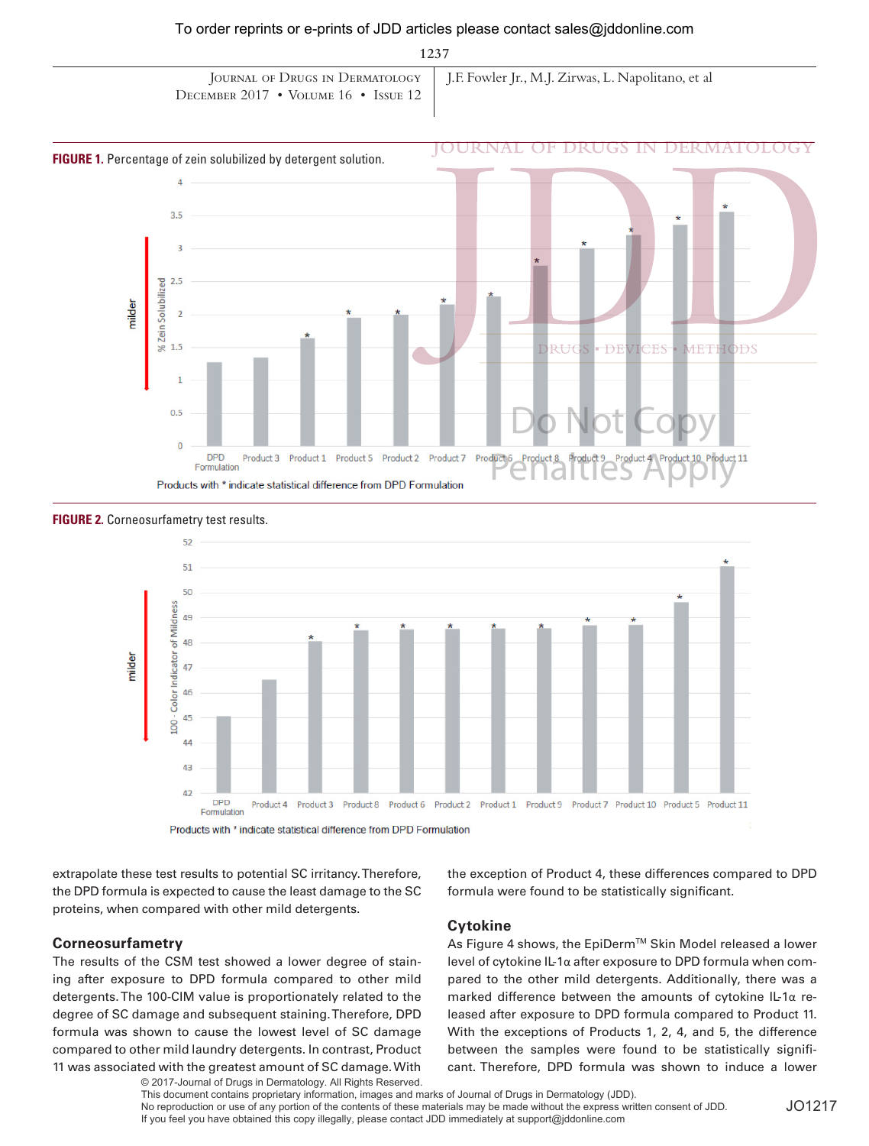**1237**

| DECEMBER 2017 • VOLUME 16 • ISSUE 12 | JOURNAL OF DRUGS IN DERMATOLOGY   J.F. Fowler Jr., M.J. Zirwas, L. Napolitano, et al |
|--------------------------------------|--------------------------------------------------------------------------------------|

#### **FIGURE 1.** Percentage of zein solubilized by detergent solution.





#### **FIGURE 2.** Corneosurfametry test results.

extrapolate these test results to potential SC irritancy. Therefore, the DPD formula is expected to cause the least damage to the SC proteins, when compared with other mild detergents.

## **Corneosurfametry**

The results of the CSM test showed a lower degree of staining after exposure to DPD formula compared to other mild detergents. The 100-CIM value is proportionately related to the degree of SC damage and subsequent staining. Therefore, DPD formula was shown to cause the lowest level of SC damage compared to other mild laundry detergents. In contrast, Product 11 was associated with the greatest amount of SC damage. With

© 2017-Journal of Drugs in Dermatology. All Rights Reserved.

the exception of Product 4, these differences compared to DPD formula were found to be statistically significant.

## **Cytokine**

As Figure 4 shows, the EpiDerm™ Skin Model released a lower level of cytokine IL-1α after exposure to DPD formula when compared to the other mild detergents. Additionally, there was a marked difference between the amounts of cytokine IL-1α released after exposure to DPD formula compared to Product 11. With the exceptions of Products 1, 2, 4, and 5, the difference between the samples were found to be statistically significant. Therefore, DPD formula was shown to induce a lower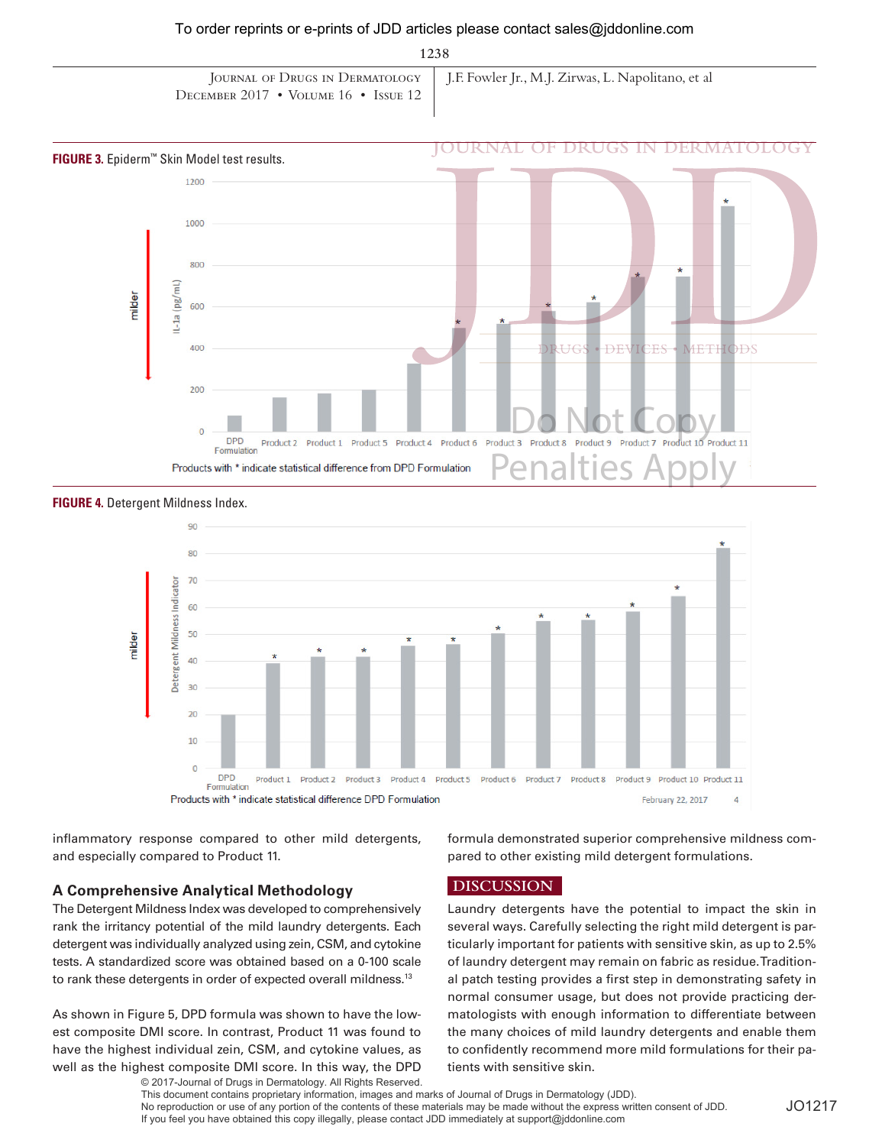**1238**

| DECEMBER 2017 • VOLUME 16 • ISSUE 12 | JOURNAL OF DRUGS IN DERMATOLOGY   J.F. Fowler Jr., M.J. Zirwas, L. Napolitano, et al |
|--------------------------------------|--------------------------------------------------------------------------------------|

#### **FIGURE 3.** Epiderm™ Skin Model test results.







inflammatory response compared to other mild detergents, and especially compared to Product 11.

formula demonstrated superior comprehensive mildness compared to other existing mild detergent formulations.

## **A Comprehensive Analytical Methodology**

The Detergent Mildness Index was developed to comprehensively rank the irritancy potential of the mild laundry detergents. Each detergent was individually analyzed using zein, CSM, and cytokine tests. A standardized score was obtained based on a 0-100 scale to rank these detergents in order of expected overall mildness.<sup>13</sup>

As shown in Figure 5, DPD formula was shown to have the lowest composite DMI score. In contrast, Product 11 was found to have the highest individual zein, CSM, and cytokine values, as well as the highest composite DMI score. In this way, the DPD © 2017-Journal of Drugs in Dermatology. All Rights Reserved.  **DISCUSSION**

Laundry detergents have the potential to impact the skin in several ways. Carefully selecting the right mild detergent is particularly important for patients with sensitive skin, as up to 2.5% of laundry detergent may remain on fabric as residue. Traditional patch testing provides a first step in demonstrating safety in normal consumer usage, but does not provide practicing dermatologists with enough information to differentiate between the many choices of mild laundry detergents and enable them to confidently recommend more mild formulations for their patients with sensitive skin.

This document contains proprietary information, images and marks of Journal of Drugs in Dermatology (JDD). No reproduction or use of any portion of the contents of these materials may be made without the express written consent of JDD. If you feel you have obtained this copy illegally, please contact JDD immediately at support@jddonline.com